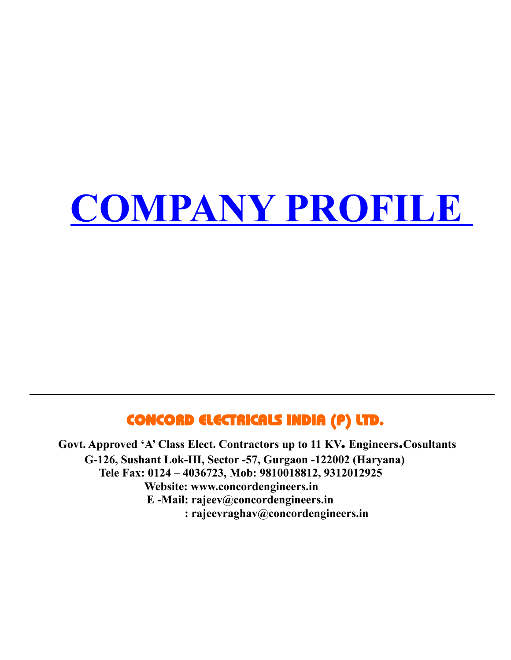# **COMPANY PROFILE**

# CONCORD ELECTRICALS INDIA (P) LTD.

 **Govt. Approved 'A' Class Elect. Contractors up to 11 KV. Engineers.Cosultants G-126, Sushant Lok-III, Sector -57, Gurgaon -122002 (Haryana) Tele Fax: 0124 – 4036723, Mob: 9810018812, 9312012925 Website: www.concordengineers.in E -Mail: rajeev@concordengineers.in : rajeevraghav@concordengineers.in**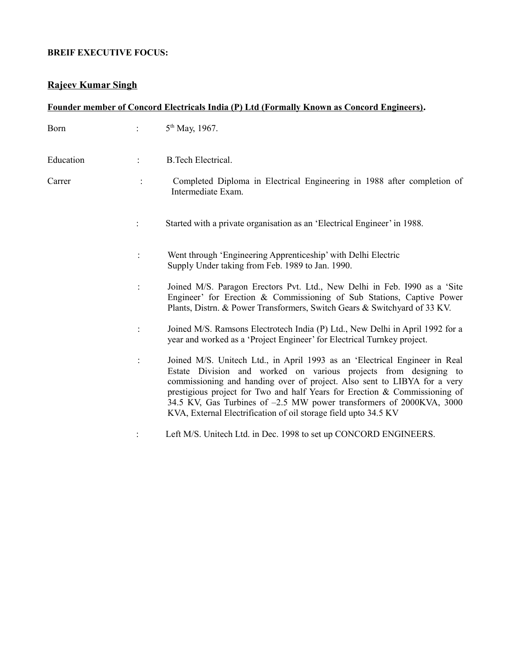#### **BREIF EXECUTIVE FOCUS:**

## **Rajeev Kumar Singh**

| Founder member of Concord Electricals India (P) Ltd (Formally Known as Concord Engineers). |  |                                                                                                                                                                                                                                                                                                                                                                                                                                                     |  |  |  |
|--------------------------------------------------------------------------------------------|--|-----------------------------------------------------------------------------------------------------------------------------------------------------------------------------------------------------------------------------------------------------------------------------------------------------------------------------------------------------------------------------------------------------------------------------------------------------|--|--|--|
| Born                                                                                       |  | 5 <sup>th</sup> May, 1967.                                                                                                                                                                                                                                                                                                                                                                                                                          |  |  |  |
| Education                                                                                  |  | <b>B.Tech Electrical.</b>                                                                                                                                                                                                                                                                                                                                                                                                                           |  |  |  |
| Carrer                                                                                     |  | Completed Diploma in Electrical Engineering in 1988 after completion of<br>Intermediate Exam.                                                                                                                                                                                                                                                                                                                                                       |  |  |  |
|                                                                                            |  | Started with a private organisation as an 'Electrical Engineer' in 1988.                                                                                                                                                                                                                                                                                                                                                                            |  |  |  |
|                                                                                            |  | Went through 'Engineering Apprenticeship' with Delhi Electric<br>Supply Under taking from Feb. 1989 to Jan. 1990.                                                                                                                                                                                                                                                                                                                                   |  |  |  |
|                                                                                            |  | Joined M/S. Paragon Erectors Pvt. Ltd., New Delhi in Feb. 1990 as a 'Site<br>Engineer' for Erection & Commissioning of Sub Stations, Captive Power<br>Plants, Distrn. & Power Transformers, Switch Gears & Switchyard of 33 KV.                                                                                                                                                                                                                     |  |  |  |
|                                                                                            |  | Joined M/S. Ramsons Electrotech India (P) Ltd., New Delhi in April 1992 for a<br>year and worked as a 'Project Engineer' for Electrical Turnkey project.                                                                                                                                                                                                                                                                                            |  |  |  |
|                                                                                            |  | Joined M/S. Unitech Ltd., in April 1993 as an 'Electrical Engineer in Real<br>Estate Division and worked on various projects from designing to<br>commissioning and handing over of project. Also sent to LIBYA for a very<br>prestigious project for Two and half Years for Erection & Commissioning of<br>34.5 KV, Gas Turbines of -2.5 MW power transformers of 2000KVA, 3000<br>KVA, External Electrification of oil storage field upto 34.5 KV |  |  |  |
|                                                                                            |  | Left M/S. Unitech Ltd. in Dec. 1998 to set up CONCORD ENGINEERS.                                                                                                                                                                                                                                                                                                                                                                                    |  |  |  |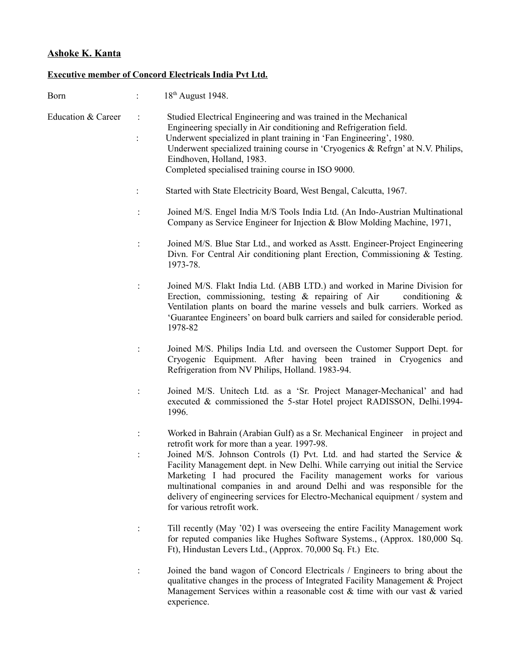# **Ashoke K. Kanta**

#### **Executive member of Concord Electricals India Pvt Ltd.**

| Born                          | 18 <sup>th</sup> August 1948.                                                                                                                                                                                                                                                                                                                                                                                                                                                                                                                               |
|-------------------------------|-------------------------------------------------------------------------------------------------------------------------------------------------------------------------------------------------------------------------------------------------------------------------------------------------------------------------------------------------------------------------------------------------------------------------------------------------------------------------------------------------------------------------------------------------------------|
| <b>Education &amp; Career</b> | Studied Electrical Engineering and was trained in the Mechanical<br>Engineering specially in Air conditioning and Refrigeration field.<br>Underwent specialized in plant training in 'Fan Engineering', 1980.<br>Underwent specialized training course in 'Cryogenics & Refrgn' at N.V. Philips,<br>Eindhoven, Holland, 1983.<br>Completed specialised training course in ISO 9000.                                                                                                                                                                         |
|                               | Started with State Electricity Board, West Bengal, Calcutta, 1967.                                                                                                                                                                                                                                                                                                                                                                                                                                                                                          |
|                               | Joined M/S. Engel India M/S Tools India Ltd. (An Indo-Austrian Multinational<br>Company as Service Engineer for Injection & Blow Molding Machine, 1971,                                                                                                                                                                                                                                                                                                                                                                                                     |
|                               | Joined M/S. Blue Star Ltd., and worked as Asstt. Engineer-Project Engineering<br>Divn. For Central Air conditioning plant Erection, Commissioning & Testing.<br>1973-78.                                                                                                                                                                                                                                                                                                                                                                                    |
|                               | Joined M/S. Flakt India Ltd. (ABB LTD.) and worked in Marine Division for<br>Erection, commissioning, testing $\&$ repairing of Air<br>conditioning $\&$<br>Ventilation plants on board the marine vessels and bulk carriers. Worked as<br>'Guarantee Engineers' on board bulk carriers and sailed for considerable period.<br>1978-82                                                                                                                                                                                                                      |
|                               | Joined M/S. Philips India Ltd. and overseen the Customer Support Dept. for<br>Cryogenic Equipment. After having been trained in Cryogenics and<br>Refrigeration from NV Philips, Holland. 1983-94.                                                                                                                                                                                                                                                                                                                                                          |
|                               | Joined M/S. Unitech Ltd. as a 'Sr. Project Manager-Mechanical' and had<br>executed & commissioned the 5-star Hotel project RADISSON, Delhi.1994-<br>1996.                                                                                                                                                                                                                                                                                                                                                                                                   |
|                               | Worked in Bahrain (Arabian Gulf) as a Sr. Mechanical Engineer in project and<br>retrofit work for more than a year. 1997-98.<br>Joined M/S. Johnson Controls (I) Pvt. Ltd. and had started the Service &<br>Facility Management dept. in New Delhi. While carrying out initial the Service<br>Marketing I had procured the Facility management works for various<br>multinational companies in and around Delhi and was responsible for the<br>delivery of engineering services for Electro-Mechanical equipment / system and<br>for various retrofit work. |
|                               | Till recently (May '02) I was overseeing the entire Facility Management work<br>for reputed companies like Hughes Software Systems., (Approx. 180,000 Sq.<br>Ft), Hindustan Levers Ltd., (Approx. 70,000 Sq. Ft.) Etc.                                                                                                                                                                                                                                                                                                                                      |
|                               | Joined the band wagon of Concord Electricals / Engineers to bring about the<br>qualitative changes in the process of Integrated Facility Management & Project<br>Management Services within a reasonable cost $\&$ time with our vast $\&$ varied<br>experience.                                                                                                                                                                                                                                                                                            |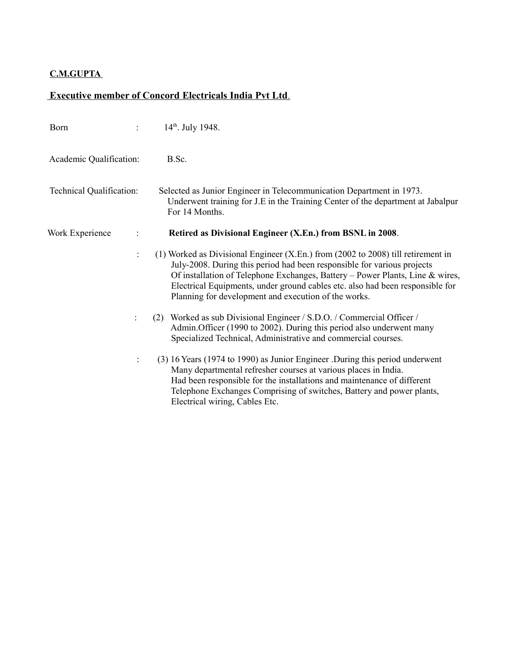#### **C.M.GUPTA**

#### **Executive member of Concord Electricals India Pvt Ltd** .

| Born                     | 14 <sup>th</sup> . July 1948.                                                                                                                                                                                                                                                                                                                                                           |
|--------------------------|-----------------------------------------------------------------------------------------------------------------------------------------------------------------------------------------------------------------------------------------------------------------------------------------------------------------------------------------------------------------------------------------|
| Academic Qualification:  | B.Sc.                                                                                                                                                                                                                                                                                                                                                                                   |
| Technical Qualification: | Selected as Junior Engineer in Telecommunication Department in 1973.<br>Underwent training for J.E in the Training Center of the department at Jabalpur<br>For 14 Months.                                                                                                                                                                                                               |
| Work Experience          | Retired as Divisional Engineer (X.En.) from BSNL in 2008.                                                                                                                                                                                                                                                                                                                               |
| $\ddot{\cdot}$           | $(1)$ Worked as Divisional Engineer (X.En.) from (2002 to 2008) till retirement in<br>July-2008. During this period had been responsible for various projects<br>Of installation of Telephone Exchanges, Battery - Power Plants, Line & wires,<br>Electrical Equipments, under ground cables etc. also had been responsible for<br>Planning for development and execution of the works. |
| ÷                        | Worked as sub Divisional Engineer / S.D.O. / Commercial Officer /<br>(2)<br>Admin. Officer (1990 to 2002). During this period also underwent many<br>Specialized Technical, Administrative and commercial courses.                                                                                                                                                                      |
| $\ddot{\cdot}$           | (3) 16 Years (1974 to 1990) as Junior Engineer . During this period underwent<br>Many departmental refresher courses at various places in India.<br>Had been responsible for the installations and maintenance of different<br>Telephone Exchanges Comprising of switches, Battery and power plants,<br>Electrical wiring, Cables Etc.                                                  |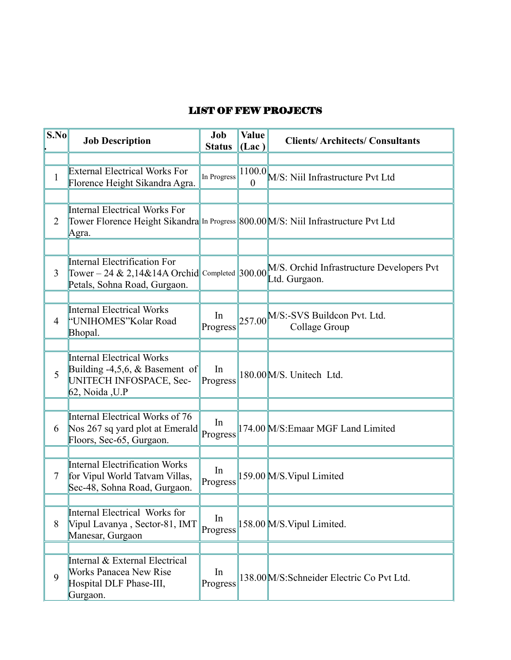#### LIST OF FEW PROJECTS

| S.No           | <b>Job Description</b>                                                                                                       | Job<br><b>Status</b> | <b>Value</b><br>(Lac) | <b>Clients/Architects/Consultants</b>                      |  |
|----------------|------------------------------------------------------------------------------------------------------------------------------|----------------------|-----------------------|------------------------------------------------------------|--|
|                |                                                                                                                              |                      |                       |                                                            |  |
| 1              | <b>External Electrical Works For</b><br>Florence Height Sikandra Agra.                                                       | In Progress          | $\theta$              | $\frac{ 1100.0 }{\Omega}$ M/S: Niil Infrastructure Pvt Ltd |  |
|                |                                                                                                                              |                      |                       |                                                            |  |
| $\overline{2}$ | Internal Electrical Works For<br>Tower Florence Height Sikandra In Progress 800.00 M/S: Niil Infrastructure Pvt Ltd<br>Agra. |                      |                       |                                                            |  |
|                |                                                                                                                              |                      |                       |                                                            |  |
| 3              | Internal Electrification For<br>Tower – 24 & 2,14&14A Orchid Completed 300.00<br>Petals, Sohna Road, Gurgaon.                |                      |                       | M/S. Orchid Infrastructure Developers Pvt<br>Ltd. Gurgaon. |  |
|                |                                                                                                                              |                      |                       |                                                            |  |
| 4              | Internal Electrical Works<br>"UNIHOMES" Kolar Road<br>Bhopal.                                                                | In<br>Progress       |                       | $257.00$ M/S:-SVS Buildcon Pvt. Ltd.<br>Collage Group      |  |
|                |                                                                                                                              |                      |                       |                                                            |  |
| 5              | Internal Electrical Works<br>Building $-4,5,6, \&$ Basement of<br>UNITECH INFOSPACE, Sec-<br>$62$ , Noida, U.P               | In<br>Progress       |                       | 180.00 M/S. Unitech Ltd.                                   |  |
|                |                                                                                                                              |                      |                       |                                                            |  |
| 6              | Internal Electrical Works of 76<br>Nos 267 sq yard plot at Emerald<br>Floors, Sec-65, Gurgaon.                               | In<br>Progress       |                       | 174.00 M/S: Emaar MGF Land Limited                         |  |
|                |                                                                                                                              |                      |                       |                                                            |  |
| 7              | <b>Internal Electrification Works</b><br>for Vipul World Tatvam Villas,<br>Sec-48, Sohna Road, Gurgaon.                      | In<br>Progress       |                       | 159.00 M/S. Vipul Limited                                  |  |
|                |                                                                                                                              |                      |                       |                                                            |  |
| 8              | Internal Electrical Works for<br>Vipul Lavanya, Sector-81, IMT<br>Manesar, Gurgaon                                           | In<br>Progress       |                       | 158.00 M/S. Vipul Limited.                                 |  |
|                |                                                                                                                              |                      |                       |                                                            |  |
| 9              | Internal & External Electrical<br><b>Works Panacea New Rise</b><br>Hospital DLF Phase-III,<br>Gurgaon.                       | In<br>Progress       |                       | 138.00 M/S: Schneider Electric Co Pvt Ltd.                 |  |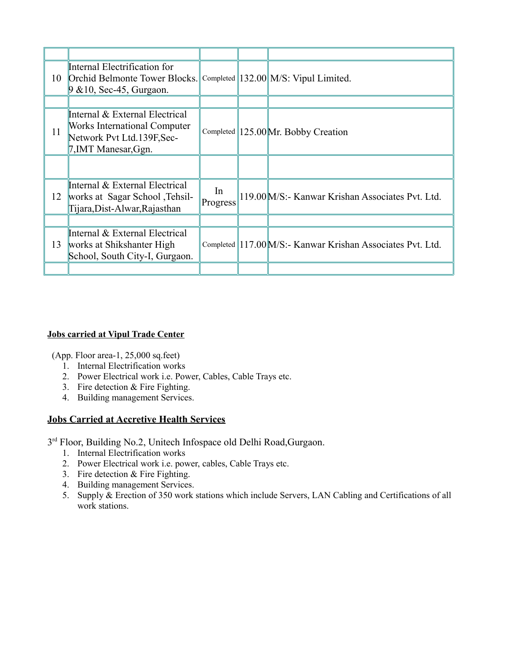| 10 | Internal Electrification for<br>Orchid Belmonte Tower Blocks.<br>$9 \& 10$ , Sec-45, Gurgaon.                           |                | Completed $\parallel$ 132.00 $\parallel$ M/S: Vipul Limited. |
|----|-------------------------------------------------------------------------------------------------------------------------|----------------|--------------------------------------------------------------|
|    |                                                                                                                         |                |                                                              |
| 11 | Internal & External Electrical<br>Works International Computer<br>Network Pvt Ltd.139F, Sec-<br>$7$ , IMT Manesar, Ggn. |                | Completed $\parallel$ 125.00 Mr. Bobby Creation              |
|    |                                                                                                                         |                |                                                              |
| 12 | Internal & External Electrical<br>works at Sagar School , Tehsil-<br>Tijara, Dist-Alwar, Rajasthan                      | In<br>Progress | 119.00 M/S:- Kanwar Krishan Associates Pvt. Ltd.             |
|    |                                                                                                                         |                |                                                              |
| 13 | Internal & External Electrical<br>works at Shikshanter High<br>School, South City-I, Gurgaon.                           |                | Completed 117.00 M/S:- Kanwar Krishan Associates Pvt. Ltd.   |
|    |                                                                                                                         |                |                                                              |

#### **Jobs carried at Vipul Trade Center**

(App. Floor area-1, 25,000 sq.feet)

- 1. Internal Electrification works
- 2. Power Electrical work i.e. Power, Cables, Cable Trays etc.
- 3. Fire detection & Fire Fighting.
- 4. Building management Services.

#### **Jobs Carried at Accretive Health Services**

3<sup>rd</sup> Floor, Building No.2, Unitech Infospace old Delhi Road, Gurgaon.

- 1. Internal Electrification works
- 2. Power Electrical work i.e. power, cables, Cable Trays etc.
- 3. Fire detection & Fire Fighting.
- 4. Building management Services.
- 5. Supply & Erection of 350 work stations which include Servers, LAN Cabling and Certifications of all work stations.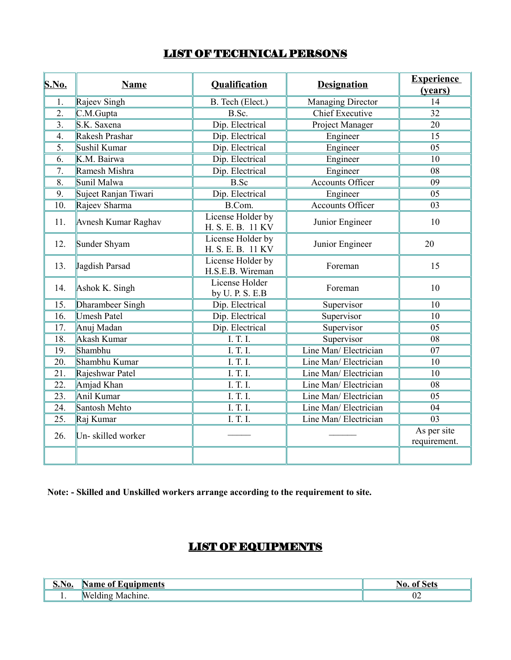## LIST OF TECHNICAL PERSONS

| S.No.             | <b>Name</b>          | <b>Qualification</b>                   | <b>Designation</b>       | <b>Experience</b><br>(years) |
|-------------------|----------------------|----------------------------------------|--------------------------|------------------------------|
| 1.                | Rajeev Singh         | B. Tech (Elect.)                       | <b>Managing Director</b> | 14                           |
| $\overline{2}$ .  | C.M.Gupta            | B.Sc.                                  | <b>Chief Executive</b>   | 32                           |
| 3.                | S.K. Saxena          | Dip. Electrical                        | Project Manager          | 20                           |
| $\overline{4}$ .  | Rakesh Prashar       | Dip. Electrical                        | Engineer                 | 15                           |
| 5.                | Sushil Kumar         | Dip. Electrical                        | Engineer                 | 05                           |
| 6.                | K.M. Bairwa          | Dip. Electrical                        | Engineer                 | 10                           |
| 7.                | Ramesh Mishra        | Dip. Electrical                        | Engineer                 | 08                           |
| 8.                | Sunil Malwa          | <b>B.Sc</b>                            | <b>Accounts Officer</b>  | 09                           |
| 9.                | Sujeet Ranjan Tiwari | Dip. Electrical                        | Engineer                 | 05                           |
| 10.               | Rajeev Sharma        | B.Com.                                 | <b>Accounts Officer</b>  | 03                           |
| 11.               | Avnesh Kumar Raghav  | License Holder by<br>H. S. E. B. 11 KV | Junior Engineer          | 10                           |
| 12.               | Sunder Shyam         | License Holder by<br>H. S. E. B. 11 KV | Junior Engineer          | 20                           |
| 13.               | Jagdish Parsad       | License Holder by<br>H.S.E.B. Wireman  | Foreman                  | 15                           |
| 14.               | Ashok K. Singh       | License Holder<br>by U. P. S. E.B      | Foreman                  | 10                           |
| 15.               | Dharambeer Singh     | Dip. Electrical                        | Supervisor               | 10                           |
| 16.               | <b>Umesh Patel</b>   | Dip. Electrical                        | Supervisor               | 10                           |
| 17.               | Anuj Madan           | Dip. Electrical                        | Supervisor               | 05                           |
| 18.               | Akash Kumar          | I. T. I.                               | Supervisor               | 08                           |
| 19.               | Shambhu              | I. T. I.                               | Line Man/ Electrician    | 07                           |
| 20.               | Shambhu Kumar        | I. T. I.                               | Line Man/ Electrician    | 10                           |
| 21.               | Rajeshwar Patel      | I. T. I.                               | Line Man/ Electrician    | 10                           |
| $\overline{22}$ . | Amjad Khan           | I. T. I.                               | Line Man/ Electrician    | 08                           |
| 23.               | Anil Kumar           | I. T. I.                               | Line Man/ Electrician    | 05                           |
| 24.               | Santosh Mehto        | I. T. I.                               | Line Man/ Electrician    | 04                           |
| 25.               | Raj Kumar            | I. T. I.                               | Line Man/ Electrician    | 03                           |
| 26.               | Un-skilled worker    |                                        |                          | As per site<br>requirement.  |
|                   |                      |                                        |                          |                              |

**Note: - Skilled and Unskilled workers arrange according to the requirement to site.**

# LIST OF EQUIPMENTS

| $\degree$ No.<br>◡ | oments<br>Name<br>$\sim$           | ιn |
|--------------------|------------------------------------|----|
|                    | . .<br>Mer<br>`hine.<br>∣ach<br>V. | ∪∠ |